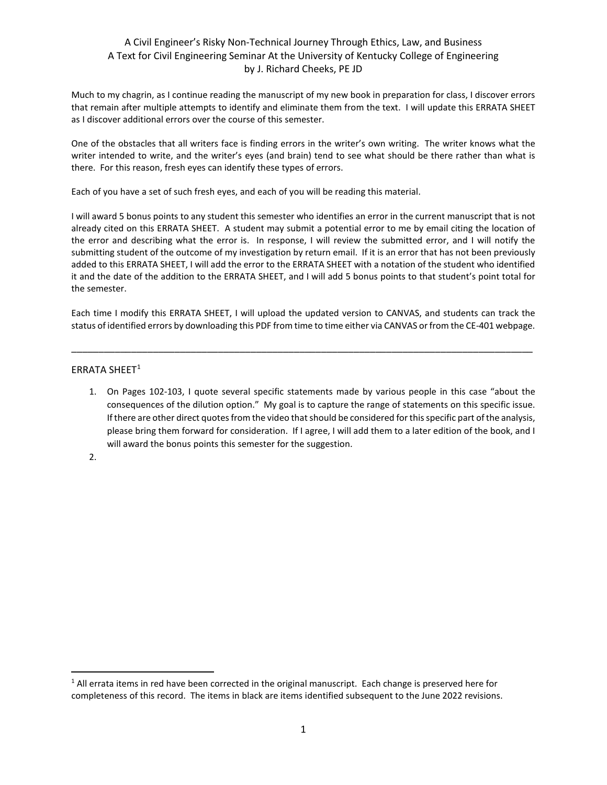## A Civil Engineer's Risky Non-Technical Journey Through Ethics, Law, and Business A Text for Civil Engineering Seminar At the University of Kentucky College of Engineering by J. Richard Cheeks, PE JD

Much to my chagrin, as I continue reading the manuscript of my new book in preparation for class, I discover errors that remain after multiple attempts to identify and eliminate them from the text. I will update this ERRATA SHEET as I discover additional errors over the course of this semester.

One of the obstacles that all writers face is finding errors in the writer's own writing. The writer knows what the writer intended to write, and the writer's eyes (and brain) tend to see what should be there rather than what is there. For this reason, fresh eyes can identify these types of errors.

Each of you have a set of such fresh eyes, and each of you will be reading this material.

I will award 5 bonus points to any student this semester who identifies an error in the current manuscript that is not already cited on this ERRATA SHEET. A student may submit a potential error to me by email citing the location of the error and describing what the error is. In response, I will review the submitted error, and I will notify the submitting student of the outcome of my investigation by return email. If it is an error that has not been previously added to this ERRATA SHEET, I will add the error to the ERRATA SHEET with a notation of the student who identified it and the date of the addition to the ERRATA SHEET, and I will add 5 bonus points to that student's point total for the semester.

Each time I modify this ERRATA SHEET, I will upload the updated version to CANVAS, and students can track the status of identified errors by downloading this PDF from time to time either via CANVAS or from the CE-401 webpage.

\_\_\_\_\_\_\_\_\_\_\_\_\_\_\_\_\_\_\_\_\_\_\_\_\_\_\_\_\_\_\_\_\_\_\_\_\_\_\_\_\_\_\_\_\_\_\_\_\_\_\_\_\_\_\_\_\_\_\_\_\_\_\_\_\_\_\_\_\_\_\_\_\_\_\_\_\_\_\_\_\_\_\_\_\_

## ERRATA SHEET<sup>[1](#page-0-0)</sup>

1. On Pages 102-103, I quote several specific statements made by various people in this case "about the consequences of the dilution option." My goal is to capture the range of statements on this specific issue. If there are other direct quotes from the video that should be considered for this specific part of the analysis, please bring them forward for consideration. If I agree, I will add them to a later edition of the book, and I will award the bonus points this semester for the suggestion.

2.

<span id="page-0-0"></span><sup>&</sup>lt;sup>1</sup> All errata items in red have been corrected in the original manuscript. Each change is preserved here for completeness of this record. The items in black are items identified subsequent to the June 2022 revisions.